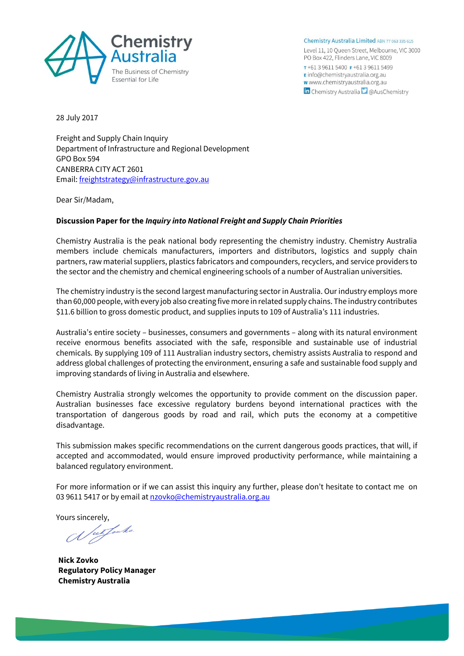

Chemistry Australia Limited ABN 77 063 335 615 Level 11, 10 Queen Street, Melbourne, VIC 3000 PO Box 422, Flinders Lane, VIC 8009 T+61396115400 F+61396115499 E info@chemistryaustralia.org.au w www.chemistryaustralia.org.au **in** Chemistry Australia **D** @AusChemistry

28 July 2017

Freight and Supply Chain Inquiry Department of Infrastructure and Regional Development GPO Box 594 CANBERRA CITY ACT 2601 Email[: freightstrategy@infrastructure.gov.au](mailto:freightstrategy@infrastructure.gov.au)

Dear Sir/Madam,

## **Discussion Paper for the** *Inquiry into National Freight and Supply Chain Priorities*

Chemistry Australia is the peak national body representing the chemistry industry. Chemistry Australia members include chemicals manufacturers, importers and distributors, logistics and supply chain partners, raw material suppliers, plastics fabricators and compounders, recyclers, and service providers to the sector and the chemistry and chemical engineering schools of a number of Australian universities.

The chemistry industry is the second largest manufacturing sector in Australia. Our industry employs more than 60,000 people, with every job also creating five more in related supply chains. The industry contributes \$11.6 billion to gross domestic product, and supplies inputs to 109 of Australia's 111 industries.

Australia's entire society – businesses, consumers and governments – along with its natural environment receive enormous benefits associated with the safe, responsible and sustainable use of industrial chemicals. By supplying 109 of 111 Australian industry sectors, chemistry assists Australia to respond and address global challenges of protecting the environment, ensuring a safe and sustainable food supply and improving standards of living in Australia and elsewhere.

Chemistry Australia strongly welcomes the opportunity to provide comment on the discussion paper. Australian businesses face excessive regulatory burdens beyond international practices with the transportation of dangerous goods by road and rail, which puts the economy at a competitive disadvantage.

This submission makes specific recommendations on the current dangerous goods practices, that will, if accepted and accommodated, would ensure improved productivity performance, while maintaining a balanced regulatory environment.

For more information or if we can assist this inquiry any further, please don't hesitate to contact me on 03 9611 5417 or by email a[t nzovko@chemistryaustralia.org.au](mailto:nzovko@chemistryaustralia.org.au)

Yours sincerely,<br>(*I*) *ut fault* 

**Nick Zovko Regulatory Policy Manager Chemistry Australia**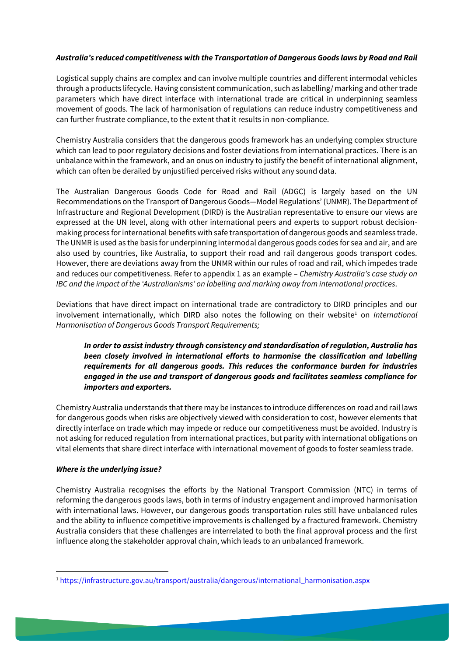## *Australia's reduced competitiveness with the Transportation of Dangerous Goods laws by Road and Rail*

Logistical supply chains are complex and can involve multiple countries and different intermodal vehicles through a products lifecycle. Having consistent communication, such as labelling/ marking and other trade parameters which have direct interface with international trade are critical in underpinning seamless movement of goods. The lack of harmonisation of regulations can reduce industry competitiveness and can further frustrate compliance, to the extent that it results in non-compliance.

Chemistry Australia considers that the dangerous goods framework has an underlying complex structure which can lead to poor regulatory decisions and foster deviations from international practices. There is an unbalance within the framework, and an onus on industry to justify the benefit of international alignment, which can often be derailed by unjustified perceived risks without any sound data.

The Australian Dangerous Goods Code for Road and Rail (ADGC) is largely based on the UN Recommendations on the Transport of Dangerous Goods—Model Regulations' (UNMR). The Department of Infrastructure and Regional Development (DIRD) is the Australian representative to ensure our views are expressed at the UN level, along with other international peers and experts to support robust decisionmaking process for international benefits with safe transportation of dangerous goods and seamless trade. The UNMR is used as the basis for underpinning intermodal dangerous goods codes for sea and air, and are also used by countries, like Australia, to support their road and rail dangerous goods transport codes. However, there are deviations away from the UNMR within our rules of road and rail, which impedes trade and reduces our competitiveness. Refer to appendix 1 as an example – *Chemistry Australia's case study on IBC and the impact of the 'Australianisms' on labelling and marking away from international practices*.

Deviations that have direct impact on international trade are contradictory to DIRD principles and our involvement internationally, which DIRD also notes the following on their website<sup>1</sup> on *International Harmonisation of Dangerous Goods Transport Requirements;*

*In order to assist industry through consistency and standardisation of regulation, Australia has been closely involved in international efforts to harmonise the classification and labelling requirements for all dangerous goods. This reduces the conformance burden for industries engaged in the use and transport of dangerous goods and facilitates seamless compliance for importers and exporters.*

Chemistry Australia understands that there may be instances to introduce differences on road and rail laws for dangerous goods when risks are objectively viewed with consideration to cost, however elements that directly interface on trade which may impede or reduce our competitiveness must be avoided. Industry is not asking for reduced regulation from international practices, but parity with international obligations on vital elements that share direct interface with international movement of goods to foster seamless trade.

### *Where is the underlying issue?*

Chemistry Australia recognises the efforts by the National Transport Commission (NTC) in terms of reforming the dangerous goods laws, both in terms of industry engagement and improved harmonisation with international laws. However, our dangerous goods transportation rules still have unbalanced rules and the ability to influence competitive improvements is challenged by a fractured framework. Chemistry Australia considers that these challenges are interrelated to both the final approval process and the first influence along the stakeholder approval chain, which leads to an unbalanced framework.

<sup>1</sup> [https://infrastructure.gov.au/transport/australia/dangerous/international\\_harmonisation.aspx](https://infrastructure.gov.au/transport/australia/dangerous/international_harmonisation.aspx)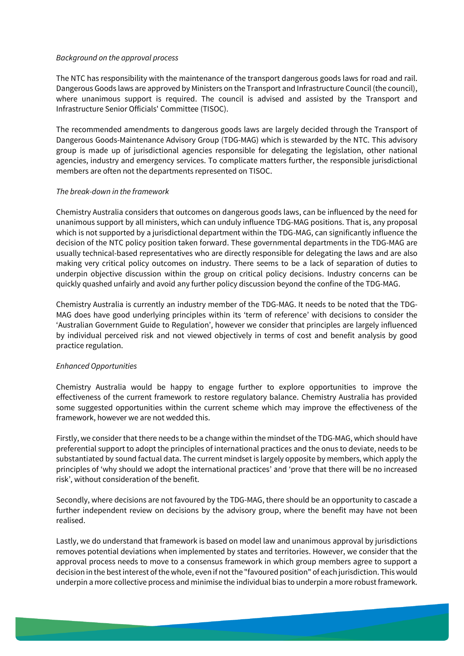### *Background on the approval process*

The NTC has responsibility with the maintenance of the transport dangerous goods laws for road and rail. Dangerous Goods laws are approved by Ministers on the Transport and Infrastructure Council (the council), where unanimous support is required. The council is advised and assisted by the Transport and Infrastructure Senior Officials' Committee (TISOC).

The recommended amendments to dangerous goods laws are largely decided through the Transport of Dangerous Goods-Maintenance Advisory Group (TDG-MAG) which is stewarded by the NTC. This advisory group is made up of jurisdictional agencies responsible for delegating the legislation, other national agencies, industry and emergency services. To complicate matters further, the responsible jurisdictional members are often not the departments represented on TISOC.

### *The break-down in the framework*

Chemistry Australia considers that outcomes on dangerous goods laws, can be influenced by the need for unanimous support by all ministers, which can unduly influence TDG-MAG positions. That is, any proposal which is not supported by a jurisdictional department within the TDG-MAG, can significantly influence the decision of the NTC policy position taken forward. These governmental departments in the TDG-MAG are usually technical-based representatives who are directly responsible for delegating the laws and are also making very critical policy outcomes on industry. There seems to be a lack of separation of duties to underpin objective discussion within the group on critical policy decisions. Industry concerns can be quickly quashed unfairly and avoid any further policy discussion beyond the confine of the TDG-MAG.

Chemistry Australia is currently an industry member of the TDG-MAG. It needs to be noted that the TDG-MAG does have good underlying principles within its 'term of reference' with decisions to consider the 'Australian Government Guide to Regulation', however we consider that principles are largely influenced by individual perceived risk and not viewed objectively in terms of cost and benefit analysis by good practice regulation.

### *Enhanced Opportunities*

Chemistry Australia would be happy to engage further to explore opportunities to improve the effectiveness of the current framework to restore regulatory balance. Chemistry Australia has provided some suggested opportunities within the current scheme which may improve the effectiveness of the framework, however we are not wedded this.

Firstly, we consider that there needs to be a change within the mindset of the TDG-MAG, which should have preferential support to adopt the principles of international practices and the onus to deviate, needs to be substantiated by sound factual data. The current mindset is largely opposite by members, which apply the principles of 'why should we adopt the international practices' and 'prove that there will be no increased risk', without consideration of the benefit.

Secondly, where decisions are not favoured by the TDG-MAG, there should be an opportunity to cascade a further independent review on decisions by the advisory group, where the benefit may have not been realised.

Lastly, we do understand that framework is based on model law and unanimous approval by jurisdictions removes potential deviations when implemented by states and territories. However, we consider that the approval process needs to move to a consensus framework in which group members agree to support a decision in the best interest of the whole, even if not the "favoured position" of each jurisdiction. This would underpin a more collective process and minimise the individual bias to underpin a more robust framework.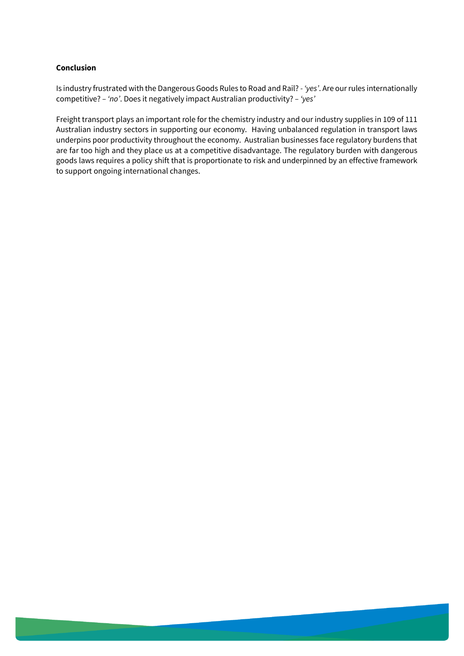### **Conclusion**

Is industry frustrated with the Dangerous Goods Rules to Road and Rail? *- 'yes'*. Are our rules internationally competitive? *– 'no'*. Does it negatively impact Australian productivity? *– 'yes'*

Freight transport plays an important role for the chemistry industry and our industry supplies in 109 of 111 Australian industry sectors in supporting our economy. Having unbalanced regulation in transport laws underpins poor productivity throughout the economy. Australian businesses face regulatory burdens that are far too high and they place us at a competitive disadvantage. The regulatory burden with dangerous goods laws requires a policy shift that is proportionate to risk and underpinned by an effective framework to support ongoing international changes.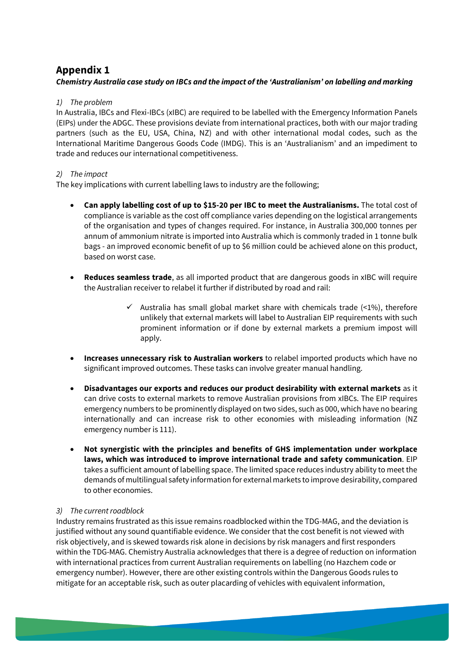# **Appendix 1**

# *Chemistry Australia case study on IBCs and the impact of the 'Australianism' on labelling and marking*

# *1) The problem*

In Australia, IBCs and Flexi-IBCs (xIBC) are required to be labelled with the Emergency Information Panels (EIPs) under the ADGC. These provisions deviate from international practices, both with our major trading partners (such as the EU, USA, China, NZ) and with other international modal codes, such as the International Maritime Dangerous Goods Code (IMDG). This is an 'Australianism' and an impediment to trade and reduces our international competitiveness.

# *2) The impact*

The key implications with current labelling laws to industry are the following;

- **Can apply labelling cost of up to \$15-20 per IBC to meet the Australianisms.** The total cost of compliance is variable as the cost off compliance varies depending on the logistical arrangements of the organisation and types of changes required. For instance, in Australia 300,000 tonnes per annum of ammonium nitrate is imported into Australia which is commonly traded in 1 tonne bulk bags - an improved economic benefit of up to \$6 million could be achieved alone on this product, based on worst case.
- **Reduces seamless trade**, as all imported product that are dangerous goods in xIBC will require the Australian receiver to relabel it further if distributed by road and rail:
	- $\checkmark$  Australia has small global market share with chemicals trade (<1%), therefore unlikely that external markets will label to Australian EIP requirements with such prominent information or if done by external markets a premium impost will apply.
- **Increases unnecessary risk to Australian workers** to relabel imported products which have no significant improved outcomes. These tasks can involve greater manual handling.
- **Disadvantages our exports and reduces our product desirability with external markets** as it can drive costs to external markets to remove Australian provisions from xIBCs. The EIP requires emergency numbers to be prominently displayed on two sides, such as 000, which have no bearing internationally and can increase risk to other economies with misleading information (NZ emergency number is 111).
- **Not synergistic with the principles and benefits of GHS implementation under workplace laws, which was introduced to improve international trade and safety communication**. EIP takes a sufficient amount of labelling space. The limited space reduces industry ability to meet the demands of multilingual safety information for external markets to improve desirability, compared to other economies.

# *3) The current roadblock*

Industry remains frustrated as this issue remains roadblocked within the TDG-MAG, and the deviation is justified without any sound quantifiable evidence. We consider that the cost benefit is not viewed with risk objectively, and is skewed towards risk alone in decisions by risk managers and first responders within the TDG-MAG. Chemistry Australia acknowledges that there is a degree of reduction on information with international practices from current Australian requirements on labelling (no Hazchem code or emergency number). However, there are other existing controls within the Dangerous Goods rules to mitigate for an acceptable risk, such as outer placarding of vehicles with equivalent information,